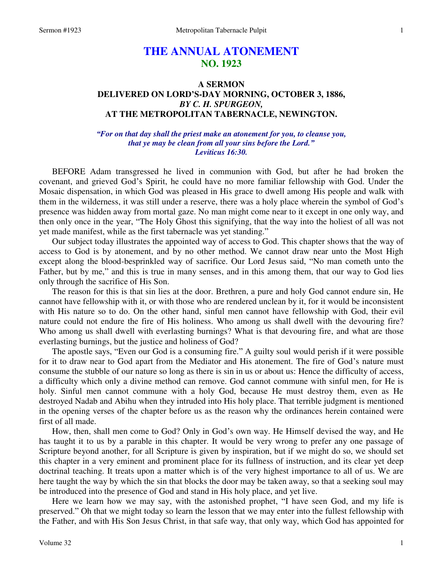# **THE ANNUAL ATONEMENT NO. 1923**

## **A SERMON DELIVERED ON LORD'S-DAY MORNING, OCTOBER 3, 1886,**  *BY C. H. SPURGEON,*  **AT THE METROPOLITAN TABERNACLE, NEWINGTON.**

*"For on that day shall the priest make an atonement for you, to cleanse you, that ye may be clean from all your sins before the Lord." Leviticus 16:30.* 

BEFORE Adam transgressed he lived in communion with God, but after he had broken the covenant, and grieved God's Spirit, he could have no more familiar fellowship with God. Under the Mosaic dispensation, in which God was pleased in His grace to dwell among His people and walk with them in the wilderness, it was still under a reserve, there was a holy place wherein the symbol of God's presence was hidden away from mortal gaze. No man might come near to it except in one only way, and then only once in the year, "The Holy Ghost this signifying, that the way into the holiest of all was not yet made manifest, while as the first tabernacle was yet standing."

 Our subject today illustrates the appointed way of access to God. This chapter shows that the way of access to God is by atonement, and by no other method. We cannot draw near unto the Most High except along the blood-besprinkled way of sacrifice. Our Lord Jesus said, "No man cometh unto the Father, but by me," and this is true in many senses, and in this among them, that our way to God lies only through the sacrifice of His Son.

 The reason for this is that sin lies at the door. Brethren, a pure and holy God cannot endure sin, He cannot have fellowship with it, or with those who are rendered unclean by it, for it would be inconsistent with His nature so to do. On the other hand, sinful men cannot have fellowship with God, their evil nature could not endure the fire of His holiness. Who among us shall dwell with the devouring fire? Who among us shall dwell with everlasting burnings? What is that devouring fire, and what are those everlasting burnings, but the justice and holiness of God?

 The apostle says, "Even our God is a consuming fire." A guilty soul would perish if it were possible for it to draw near to God apart from the Mediator and His atonement. The fire of God's nature must consume the stubble of our nature so long as there is sin in us or about us: Hence the difficulty of access, a difficulty which only a divine method can remove. God cannot commune with sinful men, for He is holy. Sinful men cannot commune with a holy God, because He must destroy them, even as He destroyed Nadab and Abihu when they intruded into His holy place. That terrible judgment is mentioned in the opening verses of the chapter before us as the reason why the ordinances herein contained were first of all made.

 How, then, shall men come to God? Only in God's own way. He Himself devised the way, and He has taught it to us by a parable in this chapter. It would be very wrong to prefer any one passage of Scripture beyond another, for all Scripture is given by inspiration, but if we might do so, we should set this chapter in a very eminent and prominent place for its fullness of instruction, and its clear yet deep doctrinal teaching. It treats upon a matter which is of the very highest importance to all of us. We are here taught the way by which the sin that blocks the door may be taken away, so that a seeking soul may be introduced into the presence of God and stand in His holy place, and yet live.

 Here we learn how we may say, with the astonished prophet, "I have seen God, and my life is preserved." Oh that we might today so learn the lesson that we may enter into the fullest fellowship with the Father, and with His Son Jesus Christ, in that safe way, that only way, which God has appointed for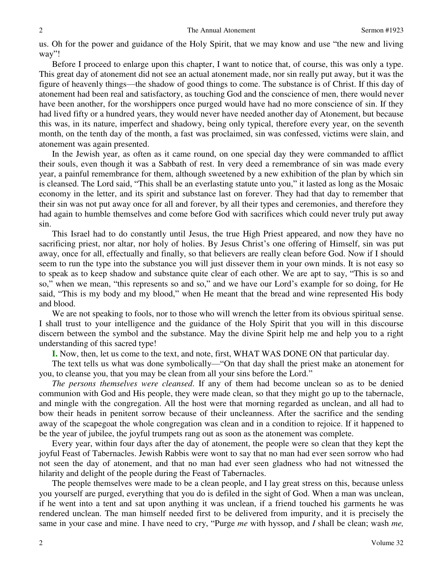us. Oh for the power and guidance of the Holy Spirit, that we may know and use "the new and living way"!

 Before I proceed to enlarge upon this chapter, I want to notice that, of course, this was only a type. This great day of atonement did not see an actual atonement made, nor sin really put away, but it was the figure of heavenly things—the shadow of good things to come. The substance is of Christ. If this day of atonement had been real and satisfactory, as touching God and the conscience of men, there would never have been another, for the worshippers once purged would have had no more conscience of sin. If they had lived fifty or a hundred years, they would never have needed another day of Atonement, but because this was, in its nature, imperfect and shadowy, being only typical, therefore every year, on the seventh month, on the tenth day of the month, a fast was proclaimed, sin was confessed, victims were slain, and atonement was again presented.

 In the Jewish year, as often as it came round, on one special day they were commanded to afflict their souls, even though it was a Sabbath of rest. In very deed a remembrance of sin was made every year, a painful remembrance for them, although sweetened by a new exhibition of the plan by which sin is cleansed. The Lord said, "This shall be an everlasting statute unto you," it lasted as long as the Mosaic economy in the letter, and its spirit and substance last on forever. They had that day to remember that their sin was not put away once for all and forever, by all their types and ceremonies, and therefore they had again to humble themselves and come before God with sacrifices which could never truly put away sin.

 This Israel had to do constantly until Jesus, the true High Priest appeared, and now they have no sacrificing priest, nor altar, nor holy of holies. By Jesus Christ's one offering of Himself, sin was put away, once for all, effectually and finally, so that believers are really clean before God. Now if I should seem to run the type into the substance you will just dissever them in your own minds. It is not easy so to speak as to keep shadow and substance quite clear of each other. We are apt to say, "This is so and so," when we mean, "this represents so and so," and we have our Lord's example for so doing, for He said, "This is my body and my blood," when He meant that the bread and wine represented His body and blood.

We are not speaking to fools, nor to those who will wrench the letter from its obvious spiritual sense. I shall trust to your intelligence and the guidance of the Holy Spirit that you will in this discourse discern between the symbol and the substance. May the divine Spirit help me and help you to a right understanding of this sacred type!

**I.** Now, then, let us come to the text, and note, first, WHAT WAS DONE ON that particular day.

 The text tells us what was done symbolically—"On that day shall the priest make an atonement for you, to cleanse you, that you may be clean from all your sins before the Lord."

*The persons themselves were cleansed*. If any of them had become unclean so as to be denied communion with God and His people, they were made clean, so that they might go up to the tabernacle, and mingle with the congregation. All the host were that morning regarded as unclean, and all had to bow their heads in penitent sorrow because of their uncleanness. After the sacrifice and the sending away of the scapegoat the whole congregation was clean and in a condition to rejoice. If it happened to be the year of jubilee, the joyful trumpets rang out as soon as the atonement was complete.

 Every year, within four days after the day of atonement, the people were so clean that they kept the joyful Feast of Tabernacles. Jewish Rabbis were wont to say that no man had ever seen sorrow who had not seen the day of atonement, and that no man had ever seen gladness who had not witnessed the hilarity and delight of the people during the Feast of Tabernacles.

 The people themselves were made to be a clean people, and I lay great stress on this, because unless you yourself are purged, everything that you do is defiled in the sight of God. When a man was unclean, if he went into a tent and sat upon anything it was unclean, if a friend touched his garments he was rendered unclean. The man himself needed first to be delivered from impurity, and it is precisely the same in your case and mine. I have need to cry, "Purge *me* with hyssop, and *I* shall be clean; wash *me,*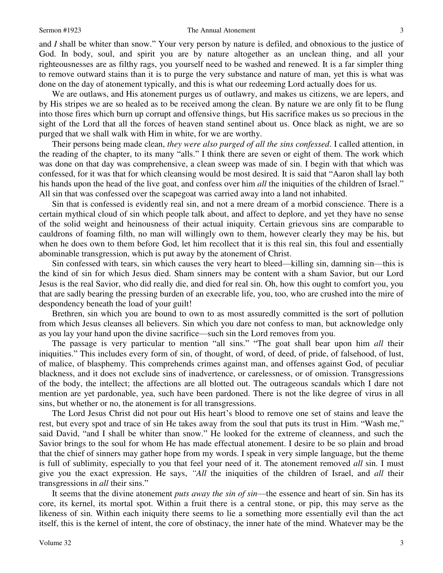#### Sermon #1923 **Sermon #1923** The Annual Atonement 3

and *I* shall be whiter than snow." Your very person by nature is defiled, and obnoxious to the justice of God. In body, soul, and spirit you are by nature altogether as an unclean thing, and all your righteousnesses are as filthy rags, you yourself need to be washed and renewed. It is a far simpler thing to remove outward stains than it is to purge the very substance and nature of man, yet this is what was done on the day of atonement typically, and this is what our redeeming Lord actually does for us.

 We are outlaws, and His atonement purges us of outlawry, and makes us citizens, we are lepers, and by His stripes we are so healed as to be received among the clean. By nature we are only fit to be flung into those fires which burn up corrupt and offensive things, but His sacrifice makes us so precious in the sight of the Lord that all the forces of heaven stand sentinel about us. Once black as night, we are so purged that we shall walk with Him in white, for we are worthy.

 Their persons being made clean, *they were also purged of all the sins confessed*. I called attention, in the reading of the chapter, to its many "alls." I think there are seven or eight of them. The work which was done on that day was comprehensive, a clean sweep was made of sin. I begin with that which was confessed, for it was that for which cleansing would be most desired. It is said that "Aaron shall lay both his hands upon the head of the live goat, and confess over him *all* the iniquities of the children of Israel." All sin that was confessed over the scapegoat was carried away into a land not inhabited.

 Sin that is confessed is evidently real sin, and not a mere dream of a morbid conscience. There is a certain mythical cloud of sin which people talk about, and affect to deplore, and yet they have no sense of the solid weight and heinousness of their actual iniquity. Certain grievous sins are comparable to cauldrons of foaming filth, no man will willingly own to them, however clearly they may be his, but when he does own to them before God, let him recollect that it is this real sin, this foul and essentially abominable transgression, which is put away by the atonement of Christ.

 Sin confessed with tears, sin which causes the very heart to bleed—killing sin, damning sin—this is the kind of sin for which Jesus died. Sham sinners may be content with a sham Savior, but our Lord Jesus is the real Savior, who did really die, and died for real sin. Oh, how this ought to comfort you, you that are sadly bearing the pressing burden of an execrable life, you, too, who are crushed into the mire of despondency beneath the load of your guilt!

 Brethren, sin which you are bound to own to as most assuredly committed is the sort of pollution from which Jesus cleanses all believers. Sin which you dare not confess to man, but acknowledge only as you lay your hand upon the divine sacrifice—such sin the Lord removes from you.

 The passage is very particular to mention "all sins." "The goat shall bear upon him *all* their iniquities." This includes every form of sin, of thought, of word, of deed, of pride, of falsehood, of lust, of malice, of blasphemy. This comprehends crimes against man, and offenses against God, of peculiar blackness, and it does not exclude sins of inadvertence, or carelessness, or of omission. Transgressions of the body, the intellect; the affections are all blotted out. The outrageous scandals which I dare not mention are yet pardonable, yea, such have been pardoned. There is not the like degree of virus in all sins, but whether or no, the atonement is for all transgressions.

 The Lord Jesus Christ did not pour out His heart's blood to remove one set of stains and leave the rest, but every spot and trace of sin He takes away from the soul that puts its trust in Him. "Wash me," said David, "and I shall be whiter than snow." He looked for the extreme of cleanness, and such the Savior brings to the soul for whom He has made effectual atonement. I desire to be so plain and broad that the chief of sinners may gather hope from my words. I speak in very simple language, but the theme is full of sublimity, especially to you that feel your need of it. The atonement removed *all* sin. I must give you the exact expression. He says, *"All* the iniquities of the children of Israel, and *all* their transgressions in *all* their sins."

 It seems that the divine atonement *puts away the sin of sin*—the essence and heart of sin. Sin has its core, its kernel, its mortal spot. Within a fruit there is a central stone, or pip, this may serve as the likeness of sin. Within each iniquity there seems to lie a something more essentially evil than the act itself, this is the kernel of intent, the core of obstinacy, the inner hate of the mind. Whatever may be the

Volume  $32 \hspace{2.5cm} 3$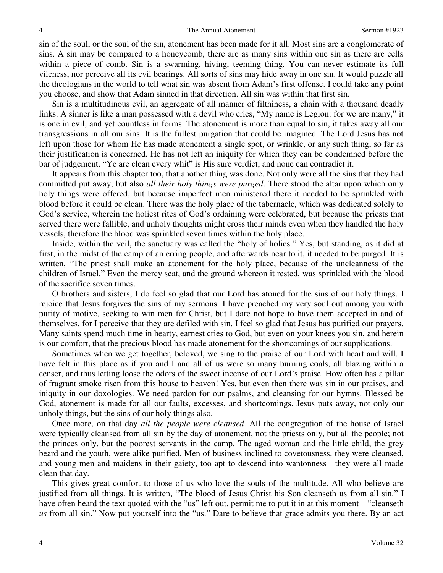sin of the soul, or the soul of the sin, atonement has been made for it all. Most sins are a conglomerate of sins. A sin may be compared to a honeycomb, there are as many sins within one sin as there are cells within a piece of comb. Sin is a swarming, hiving, teeming thing. You can never estimate its full vileness, nor perceive all its evil bearings. All sorts of sins may hide away in one sin. It would puzzle all the theologians in the world to tell what sin was absent from Adam's first offense. I could take any point you choose, and show that Adam sinned in that direction. All sin was within that first sin.

 Sin is a multitudinous evil, an aggregate of all manner of filthiness, a chain with a thousand deadly links. A sinner is like a man possessed with a devil who cries, "My name is Legion: for we are many," it is one in evil, and yet countless in forms. The atonement is more than equal to sin, it takes away all our transgressions in all our sins. It is the fullest purgation that could be imagined. The Lord Jesus has not left upon those for whom He has made atonement a single spot, or wrinkle, or any such thing, so far as their justification is concerned. He has not left an iniquity for which they can be condemned before the bar of judgement. "Ye are clean every whit" is His sure verdict, and none can contradict it.

 It appears from this chapter too, that another thing was done. Not only were all the sins that they had committed put away, but also *all their holy things were purged*. There stood the altar upon which only holy things were offered, but because imperfect men ministered there it needed to be sprinkled with blood before it could be clean. There was the holy place of the tabernacle, which was dedicated solely to God's service, wherein the holiest rites of God's ordaining were celebrated, but because the priests that served there were fallible, and unholy thoughts might cross their minds even when they handled the holy vessels, therefore the blood was sprinkled seven times within the holy place.

 Inside, within the veil, the sanctuary was called the "holy of holies." Yes, but standing, as it did at first, in the midst of the camp of an erring people, and afterwards near to it, it needed to be purged. It is written, "The priest shall make an atonement for the holy place, because of the uncleanness of the children of Israel." Even the mercy seat, and the ground whereon it rested, was sprinkled with the blood of the sacrifice seven times.

 O brothers and sisters, I do feel so glad that our Lord has atoned for the sins of our holy things. I rejoice that Jesus forgives the sins of my sermons. I have preached my very soul out among you with purity of motive, seeking to win men for Christ, but I dare not hope to have them accepted in and of themselves, for I perceive that they are defiled with sin. I feel so glad that Jesus has purified our prayers. Many saints spend much time in hearty, earnest cries to God, but even on your knees you sin, and herein is our comfort, that the precious blood has made atonement for the shortcomings of our supplications.

 Sometimes when we get together, beloved, we sing to the praise of our Lord with heart and will. I have felt in this place as if you and I and all of us were so many burning coals, all blazing within a censer, and thus letting loose the odors of the sweet incense of our Lord's praise. How often has a pillar of fragrant smoke risen from this house to heaven! Yes, but even then there was sin in our praises, and iniquity in our doxologies. We need pardon for our psalms, and cleansing for our hymns. Blessed be God, atonement is made for all our faults, excesses, and shortcomings. Jesus puts away, not only our unholy things, but the sins of our holy things also.

 Once more, on that day *all the people were cleansed*. All the congregation of the house of Israel were typically cleansed from all sin by the day of atonement, not the priests only, but all the people; not the princes only, but the poorest servants in the camp. The aged woman and the little child, the grey beard and the youth, were alike purified. Men of business inclined to covetousness, they were cleansed, and young men and maidens in their gaiety, too apt to descend into wantonness—they were all made clean that day.

 This gives great comfort to those of us who love the souls of the multitude. All who believe are justified from all things. It is written, "The blood of Jesus Christ his Son cleanseth us from all sin." I have often heard the text quoted with the "us" left out, permit me to put it in at this moment—"cleanseth *us* from all sin." Now put yourself into the "us." Dare to believe that grace admits you there. By an act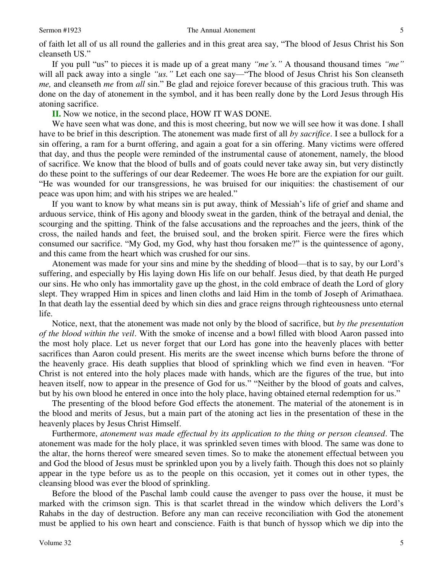of faith let all of us all round the galleries and in this great area say, "The blood of Jesus Christ his Son cleanseth US."

 If you pull "us" to pieces it is made up of a great many *"me's."* A thousand thousand times *"me"* will all pack away into a single "*us*." Let each one say—"The blood of Jesus Christ his Son cleanseth *me,* and cleanseth *me* from *all* sin." Be glad and rejoice forever because of this gracious truth. This was done on the day of atonement in the symbol, and it has been really done by the Lord Jesus through His atoning sacrifice.

**II.** Now we notice, in the second place, HOW IT WAS DONE.

We have seen what was done, and this is most cheering, but now we will see how it was done. I shall have to be brief in this description. The atonement was made first of all *by sacrifice*. I see a bullock for a sin offering, a ram for a burnt offering, and again a goat for a sin offering. Many victims were offered that day, and thus the people were reminded of the instrumental cause of atonement, namely, the blood of sacrifice. We know that the blood of bulls and of goats could never take away sin, but very distinctly do these point to the sufferings of our dear Redeemer. The woes He bore are the expiation for our guilt. "He was wounded for our transgressions, he was bruised for our iniquities: the chastisement of our peace was upon him; and with his stripes we are healed."

 If you want to know by what means sin is put away, think of Messiah's life of grief and shame and arduous service, think of His agony and bloody sweat in the garden, think of the betrayal and denial, the scourging and the spitting. Think of the false accusations and the reproaches and the jeers, think of the cross, the nailed hands and feet, the bruised soul, and the broken spirit. Fierce were the fires which consumed our sacrifice. "My God, my God, why hast thou forsaken me?" is the quintessence of agony, and this came from the heart which was crushed for our sins.

 Atonement was made for your sins and mine by the shedding of blood—that is to say, by our Lord's suffering, and especially by His laying down His life on our behalf. Jesus died, by that death He purged our sins. He who only has immortality gave up the ghost, in the cold embrace of death the Lord of glory slept. They wrapped Him in spices and linen cloths and laid Him in the tomb of Joseph of Arimathaea. In that death lay the essential deed by which sin dies and grace reigns through righteousness unto eternal life.

 Notice, next, that the atonement was made not only by the blood of sacrifice, but *by the presentation of the blood within the veil*. With the smoke of incense and a bowl filled with blood Aaron passed into the most holy place. Let us never forget that our Lord has gone into the heavenly places with better sacrifices than Aaron could present. His merits are the sweet incense which burns before the throne of the heavenly grace. His death supplies that blood of sprinkling which we find even in heaven. "For Christ is not entered into the holy places made with hands, which are the figures of the true, but into heaven itself, now to appear in the presence of God for us." "Neither by the blood of goats and calves, but by his own blood he entered in once into the holy place, having obtained eternal redemption for us."

 The presenting of the blood before God effects the atonement. The material of the atonement is in the blood and merits of Jesus, but a main part of the atoning act lies in the presentation of these in the heavenly places by Jesus Christ Himself.

 Furthermore, *atonement was made effectual by its application to the thing or person cleansed*. The atonement was made for the holy place, it was sprinkled seven times with blood. The same was done to the altar, the horns thereof were smeared seven times. So to make the atonement effectual between you and God the blood of Jesus must be sprinkled upon you by a lively faith. Though this does not so plainly appear in the type before us as to the people on this occasion, yet it comes out in other types, the cleansing blood was ever the blood of sprinkling.

 Before the blood of the Paschal lamb could cause the avenger to pass over the house, it must be marked with the crimson sign. This is that scarlet thread in the window which delivers the Lord's Rahabs in the day of destruction. Before any man can receive reconciliation with God the atonement must be applied to his own heart and conscience. Faith is that bunch of hyssop which we dip into the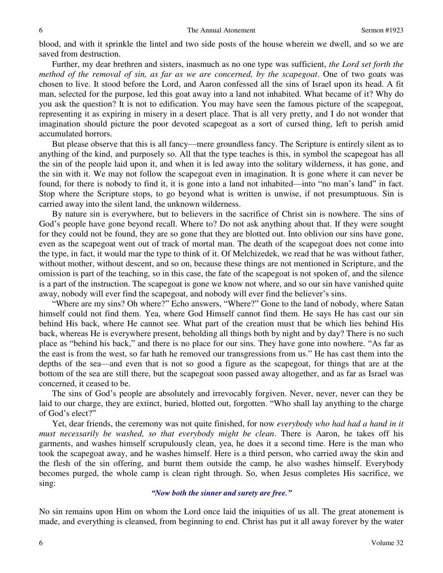blood, and with it sprinkle the lintel and two side posts of the house wherein we dwell, and so we are saved from destruction.

 Further, my dear brethren and sisters, inasmuch as no one type was sufficient, *the Lord set forth the method of the removal of sin, as far as we are concerned, by the scapegoat*. One of two goats was chosen to live. It stood before the Lord, and Aaron confessed all the sins of Israel upon its head. A fit man, selected for the purpose, led this goat away into a land not inhabited. What became of it? Why do you ask the question? It is not to edification. You may have seen the famous picture of the scapegoat, representing it as expiring in misery in a desert place. That is all very pretty, and I do not wonder that imagination should picture the poor devoted scapegoat as a sort of cursed thing, left to perish amid accumulated horrors.

 But please observe that this is all fancy—mere groundless fancy. The Scripture is entirely silent as to anything of the kind, and purposely so. All that the type teaches is this, in symbol the scapegoat has all the sin of the people laid upon it, and when it is led away into the solitary wilderness, it has gone, and the sin with it. We may not follow the scapegoat even in imagination. It is gone where it can never be found, for there is nobody to find it, it is gone into a land not inhabited—into "no man's land" in fact. Stop where the Scripture stops, to go beyond what is written is unwise, if not presumptuous. Sin is carried away into the silent land, the unknown wilderness.

 By nature sin is everywhere, but to believers in the sacrifice of Christ sin is nowhere. The sins of God's people have gone beyond recall. Where to? Do not ask anything about that. If they were sought for they could not be found, they are so gone that they are blotted out. Into oblivion our sins have gone, even as the scapegoat went out of track of mortal man. The death of the scapegoat does not come into the type, in fact, it would mar the type to think of it. Of Melchizedek, we read that he was without father, without mother, without descent, and so on, because these things are not mentioned in Scripture, and the omission is part of the teaching, so in this case, the fate of the scapegoat is not spoken of, and the silence is a part of the instruction. The scapegoat is gone we know not where, and so our sin have vanished quite away, nobody will ever find the scapegoat, and nobody will ever find the believer's sins.

"Where are my sins? Oh where?" Echo answers, "Where?" Gone to the land of nobody, where Satan himself could not find them. Yea, where God Himself cannot find them. He says He has cast our sin behind His back, where He cannot see. What part of the creation must that be which lies behind His back, whereas He is everywhere present, beholding all things both by night and by day? There is no such place as "behind his back," and there is no place for our sins. They have gone into nowhere. "As far as the east is from the west, so far hath he removed our transgressions from us." He has cast them into the depths of the sea—and even that is not so good a figure as the scapegoat, for things that are at the bottom of the sea are still there, but the scapegoat soon passed away altogether, and as far as Israel was concerned, it ceased to be.

 The sins of God's people are absolutely and irrevocably forgiven. Never, never, never can they be laid to our charge, they are extinct, buried, blotted out, forgotten. "Who shall lay anything to the charge of God's elect?"

 Yet, dear friends, the ceremony was not quite finished, for now *everybody who had had a hand in it must necessarily be washed, so that everybody might be clean*. There is Aaron, he takes off his garments, and washes himself scrupulously clean, yea, he does it a second time. Here is the man who took the scapegoat away, and he washes himself. Here is a third person, who carried away the skin and the flesh of the sin offering, and burnt them outside the camp, he also washes himself. Everybody becomes purged, the whole camp is clean right through. So, when Jesus completes His sacrifice, we sing:

## *"Now both the sinner and surety are free."*

No sin remains upon Him on whom the Lord once laid the iniquities of us all. The great atonement is made, and everything is cleansed, from beginning to end. Christ has put it all away forever by the water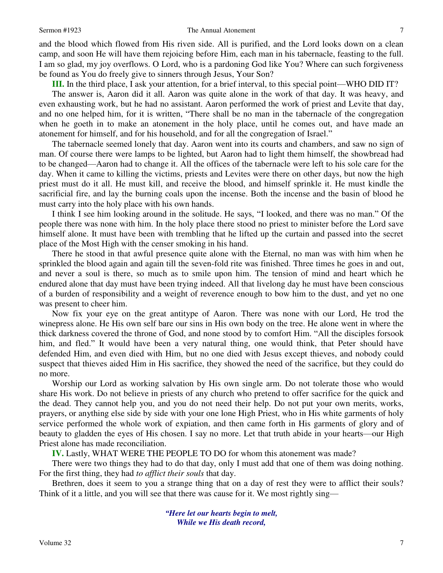#### Sermon #1923 **Sermon #1923** The Annual Atonement 7

and the blood which flowed from His riven side. All is purified, and the Lord looks down on a clean camp, and soon He will have them rejoicing before Him, each man in his tabernacle, feasting to the full. I am so glad, my joy overflows. O Lord, who is a pardoning God like You? Where can such forgiveness be found as You do freely give to sinners through Jesus, Your Son?

**III.** In the third place, I ask your attention, for a brief interval, to this special point—WHO DID IT?

 The answer is, Aaron did it all. Aaron was quite alone in the work of that day. It was heavy, and even exhausting work, but he had no assistant. Aaron performed the work of priest and Levite that day, and no one helped him, for it is written, "There shall be no man in the tabernacle of the congregation when he goeth in to make an atonement in the holy place, until he comes out, and have made an atonement for himself, and for his household, and for all the congregation of Israel."

 The tabernacle seemed lonely that day. Aaron went into its courts and chambers, and saw no sign of man. Of course there were lamps to be lighted, but Aaron had to light them himself, the showbread had to be changed—Aaron had to change it. All the offices of the tabernacle were left to his sole care for the day. When it came to killing the victims, priests and Levites were there on other days, but now the high priest must do it all. He must kill, and receive the blood, and himself sprinkle it. He must kindle the sacrificial fire, and lay the burning coals upon the incense. Both the incense and the basin of blood he must carry into the holy place with his own hands.

 I think I see him looking around in the solitude. He says, "I looked, and there was no man." Of the people there was none with him. In the holy place there stood no priest to minister before the Lord save himself alone. It must have been with trembling that he lifted up the curtain and passed into the secret place of the Most High with the censer smoking in his hand.

 There he stood in that awful presence quite alone with the Eternal, no man was with him when he sprinkled the blood again and again till the seven-fold rite was finished. Three times he goes in and out, and never a soul is there, so much as to smile upon him. The tension of mind and heart which he endured alone that day must have been trying indeed. All that livelong day he must have been conscious of a burden of responsibility and a weight of reverence enough to bow him to the dust, and yet no one was present to cheer him.

 Now fix your eye on the great antitype of Aaron. There was none with our Lord, He trod the winepress alone. He His own self bare our sins in His own body on the tree. He alone went in where the thick darkness covered the throne of God, and none stood by to comfort Him. "All the disciples forsook him, and fled." It would have been a very natural thing, one would think, that Peter should have defended Him, and even died with Him, but no one died with Jesus except thieves, and nobody could suspect that thieves aided Him in His sacrifice, they showed the need of the sacrifice, but they could do no more.

 Worship our Lord as working salvation by His own single arm. Do not tolerate those who would share His work. Do not believe in priests of any church who pretend to offer sacrifice for the quick and the dead. They cannot help you, and you do not need their help. Do not put your own merits, works, prayers, or anything else side by side with your one lone High Priest, who in His white garments of holy service performed the whole work of expiation, and then came forth in His garments of glory and of beauty to gladden the eyes of His chosen. I say no more. Let that truth abide in your hearts—our High Priest alone has made reconciliation.

**IV.** Lastly, WHAT WERE THE PEOPLE TO DO for whom this atonement was made?

 There were two things they had to do that day, only I must add that one of them was doing nothing. For the first thing, they had *to afflict their souls* that day.

 Brethren, does it seem to you a strange thing that on a day of rest they were to afflict their souls? Think of it a little, and you will see that there was cause for it. We most rightly sing—

> *"Here let our hearts begin to melt, While we His death record,*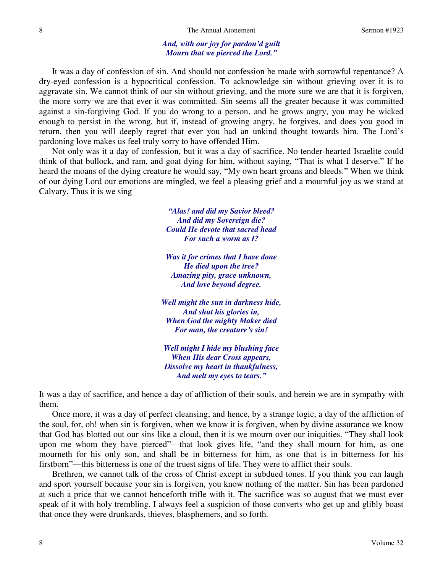#### *And, with our joy for pardon'd guilt Mourn that we pierced the Lord."*

 It was a day of confession of sin. And should not confession be made with sorrowful repentance? A dry-eyed confession is a hypocritical confession. To acknowledge sin without grieving over it is to aggravate sin. We cannot think of our sin without grieving, and the more sure we are that it is forgiven, the more sorry we are that ever it was committed. Sin seems all the greater because it was committed against a sin-forgiving God. If you do wrong to a person, and he grows angry, you may be wicked enough to persist in the wrong, but if, instead of growing angry, he forgives, and does you good in return, then you will deeply regret that ever you had an unkind thought towards him. The Lord's pardoning love makes us feel truly sorry to have offended Him.

 Not only was it a day of confession, but it was a day of sacrifice. No tender-hearted Israelite could think of that bullock, and ram, and goat dying for him, without saying, "That is what I deserve." If he heard the moans of the dying creature he would say, "My own heart groans and bleeds." When we think of our dying Lord our emotions are mingled, we feel a pleasing grief and a mournful joy as we stand at Calvary. Thus it is we sing—

> *"Alas! and did my Savior bleed? And did my Sovereign die? Could He devote that sacred head For such a worm as I?*

> *Was it for crimes that I have done He died upon the tree? Amazing pity, grace unknown, And love beyond degree.*

*Well might the sun in darkness hide, And shut his glories in, When God the mighty Maker died For man, the creature's sin!* 

*Well might I hide my blushing face When His dear Cross appears, Dissolve my heart in thankfulness, And melt my eyes to tears."*

It was a day of sacrifice, and hence a day of affliction of their souls, and herein we are in sympathy with them.

 Once more, it was a day of perfect cleansing, and hence, by a strange logic, a day of the affliction of the soul, for, oh! when sin is forgiven, when we know it is forgiven, when by divine assurance we know that God has blotted out our sins like a cloud, then it is we mourn over our iniquities. "They shall look upon me whom they have pierced"—that look gives life, "and they shall mourn for him, as one mourneth for his only son, and shall be in bitterness for him, as one that is in bitterness for his firstborn"—this bitterness is one of the truest signs of life. They were to afflict their souls.

 Brethren, we cannot talk of the cross of Christ except in subdued tones. If you think you can laugh and sport yourself because your sin is forgiven, you know nothing of the matter. Sin has been pardoned at such a price that we cannot henceforth trifle with it. The sacrifice was so august that we must ever speak of it with holy trembling. I always feel a suspicion of those converts who get up and glibly boast that once they were drunkards, thieves, blasphemers, and so forth.